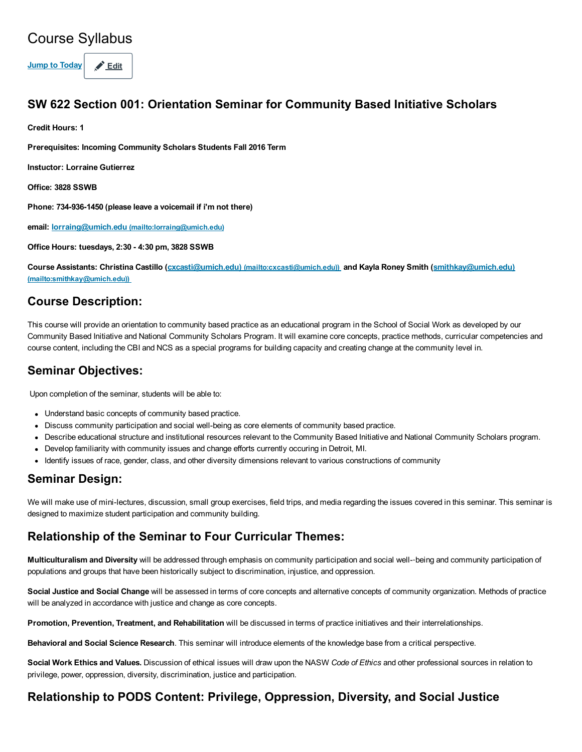## Course Syllabus

Jump to Today  $\bigotimes$  Edit

#### SW 622 Section 001: Orientation Seminar for Community Based Initiative Scholars

Credit Hours: 1

Prerequisites: Incoming Community Scholars Students Fall 2016 Term

Instuctor: Lorraine Gutierrez

Office: 3828 SSWB

Phone: 734-936-1450 (please leave a voicemail if i'm not there)

email: lorraing@umich.edu [\(mailto:lorraing@umich.edu\)](mailto:lorraing@umich.edu)

Office Hours: tuesdays, 2:30 4:30 pm, 3828 SSWB

Course Assistants: Christina Castillo (cxcasti@umich.edu) [\(mailto:cxcasti@umich.edu\)\)](mailto:cxcasti@umich.edu)) and Kayla Roney Smith (smithkay@umich.edu) [\(mailto:smithkay@umich.edu\)\)](mailto:smithkay@umich.edu))

#### Course Description:

This course will provide an orientation to community based practice as an educational program in the School of Social Work as developed by our Community Based Initiative and National Community Scholars Program. It will examine core concepts, practice methods, curricular competencies and course content, including the CBI and NCS as a special programs for building capacity and creating change at the community level in.

#### Seminar Objectives:

Upon completion of the seminar, students will be able to:

- Understand basic concepts of community based practice.
- Discuss community participation and social well-being as core elements of community based practice.
- Describe educational structure and institutional resources relevant to the Community Based Initiative and National Community Scholars program.
- Develop familiarity with community issues and change efforts currently occuring in Detroit, MI.
- Identify issues of race, gender, class, and other diversity dimensions relevant to various constructions of community

#### Seminar Design:

We will make use of mini-lectures, discussion, small group exercises, field trips, and media regarding the issues covered in this seminar. This seminar is designed to maximize student participation and community building.

#### Relationship of the Seminar to Four Curricular Themes:

Multiculturalism and Diversity will be addressed through emphasis on community participation and social well--being and community participation of populations and groups that have been historically subject to discrimination, injustice, and oppression.

Social Justice and Social Change will be assessed in terms of core concepts and alternative concepts of community organization. Methods of practice will be analyzed in accordance with justice and change as core concepts.

Promotion, Prevention, Treatment, and Rehabilitation will be discussed in terms of practice initiatives and their interrelationships.

Behavioral and Social Science Research. This seminar will introduce elements of the knowledge base from a critical perspective.

Social Work Ethics and Values. Discussion of ethical issues will draw upon the NASW Code of Ethics and other professional sources in relation to privilege, power, oppression, diversity, discrimination, justice and participation.

#### Relationship to PODS Content: Privilege, Oppression, Diversity, and Social Justice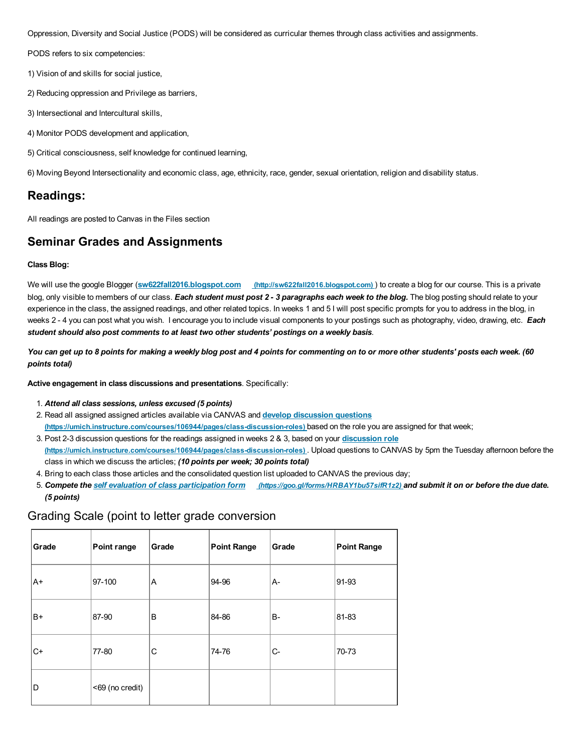Oppression, Diversity and Social Justice (PODS) will be considered as curricular themes through class activities and assignments.

PODS refers to six competencies:

- 1) Vision of and skills for social justice,
- 2) Reducing oppression and Privilege as barriers,
- 3) Intersectional and Intercultural skills,
- 4) Monitor PODS development and application,
- 5) Critical consciousness, self knowledge for continued learning,

6) Moving Beyond Intersectionality and economic class, age, ethnicity, race, gender, sexual orientation, religion and disability status.

#### Readings:

All readings are posted to Canvas in the Files section

#### Seminar Grades and Assignments

#### Class Blog:

We will use the google Blogger (sw622fall2016.blogspot.com [\(http://sw622fall2016.blogspot.com\)](http://sw622fall2016.blogspot.com/) ) to create a blog for our course. This is a private blog, only visible to members of our class. Each student must post 2 - 3 paragraphs each week to the blog. The blog posting should relate to your experience in the class, the assigned readings, and other related topics. In weeks 1 and 5 I will post specific prompts for you to address in the blog, in weeks 2 - 4 you can post what you wish. I encourage you to include visual components to your postings such as photography, video, drawing, etc. Each student should also post comments to at least two other students' postings on a weekly basis.

You can get up to 8 points for making a weekly blog post and 4 points for commenting on to or more other students' posts each week. (60 points total)

Active engagement in class discussions and presentations. Specifically:

- 1. Attend all class sessions, unless excused (5 points)
- 2. Read all assigned assigned articles available via CANVAS and develop discussion questions (https://umich.instructure.com/courses/106944/pages/class-discussion-roles) based on the role you are assigned for that week;
- 3. Post 2-3 discussion questions for the readings assigned in weeks 2 & 3, based on your discussion role (https://umich.instructure.com/courses/106944/pages/class-discussion-roles). Upload questions to CANVAS by 5pm the Tuesday afternoon before the class in which we discuss the articles; (10 points per week; 30 points total)
- 4. Bring to each class those articles and the consolidated question list uploaded to CANVAS the previous day;
- 5. Compete the self evaluation of class participation form [\(https://goo.gl/forms/HRBAY1bu57sifR1z2\)](https://goo.gl/forms/HRBAY1bu57sifR1z2) and submit it on or before the due date. (5 points)

#### Grading Scale (point to letter grade conversion

| Grade | Point range     | Grade | <b>Point Range</b> | Grade     | <b>Point Range</b> |
|-------|-----------------|-------|--------------------|-----------|--------------------|
| lA+   | 97-100          | A     | 94-96              | A-        | 91-93              |
| B+    | 87-90           | B     | 84-86              | <b>B-</b> | 81-83              |
| lC+   | 77-80           | C     | 74-76              | $C-$      | 70-73              |
| lD    | <69 (no credit) |       |                    |           |                    |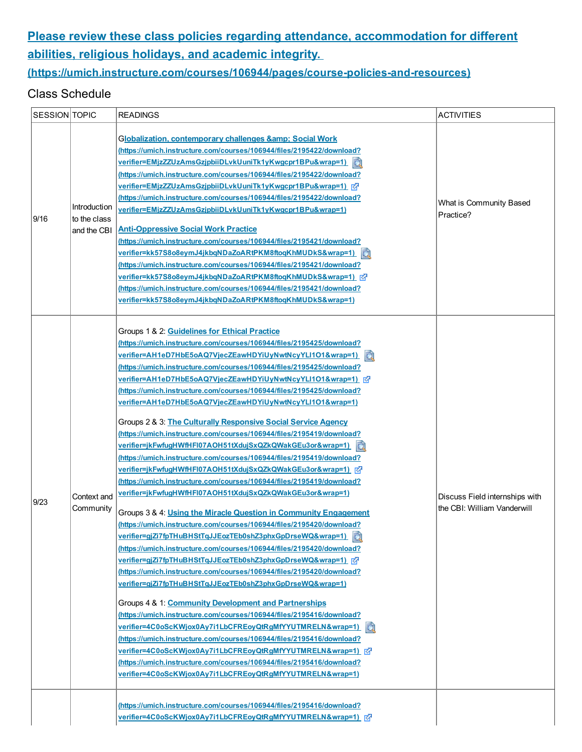## [Please review these class policies regarding attendance, accommodation for different](https://umich.instructure.com/courses/106944/pages/course-policies-and-resources) abilities, religious holidays, and academic integrity.

### (https://umich.instructure.com/courses/106944/pages/course-policies-and-resources)

#### Class Schedule

| SESSION TOPIC |                                             | READINGS                                                                                                                                                                                                                                                                                                                                                                                                                                                                                                                                                                                                                                                                                                                                                                                                                                                                                                                                                                                                                                                                                                                                                                                                                                                                                                                                                                                                                                                                                                                                                                                                                                                                                                                                                                                                     | <b>ACTIVITIES</b>                                             |
|---------------|---------------------------------------------|--------------------------------------------------------------------------------------------------------------------------------------------------------------------------------------------------------------------------------------------------------------------------------------------------------------------------------------------------------------------------------------------------------------------------------------------------------------------------------------------------------------------------------------------------------------------------------------------------------------------------------------------------------------------------------------------------------------------------------------------------------------------------------------------------------------------------------------------------------------------------------------------------------------------------------------------------------------------------------------------------------------------------------------------------------------------------------------------------------------------------------------------------------------------------------------------------------------------------------------------------------------------------------------------------------------------------------------------------------------------------------------------------------------------------------------------------------------------------------------------------------------------------------------------------------------------------------------------------------------------------------------------------------------------------------------------------------------------------------------------------------------------------------------------------------------|---------------------------------------------------------------|
| 9/16          | Introduction<br>to the class<br>and the CBI | <b>Globalization, contemporary challenges &amp; Social Work</b><br>(https://umich.instructure.com/courses/106944/files/2195422/download?<br>verifier=EMjzZZUzAmsGzjpbiiDLvkUuniTk1yKwgcpr1BPu&wrap=1)<br>(https://umich.instructure.com/courses/106944/files/2195422/download?<br>(https://umich.instructure.com/courses/106944/files/2195422/download?<br>verifier=EMjzZZUzAmsGzjpbiiDLvkUuniTk1yKwgcpr1BPu&wrap=1)<br><b>Anti-Oppressive Social Work Practice</b><br>(https://umich.instructure.com/courses/106944/files/2195421/download?<br>verifier=kk57S8o8eymJ4jkbqNDaZoARtPKM8ftoqKhMUDkS&wrap=1)<br>蝨<br>(https://umich.instructure.com/courses/106944/files/2195421/download?<br><u>verifier=kk57S8o8eymJ4jkbqNDaZoARtPKM8ftoqKhMUDkS&amp;wrap=1)</u>  ऍ/<br>(https://umich.instructure.com/courses/106944/files/2195421/download?<br>verifier=kk57S8o8eymJ4jkbqNDaZoARtPKM8ftoqKhMUDkS&wrap=1)                                                                                                                                                                                                                                                                                                                                                                                                                                                                                                                                                                                                                                                                                                                                                                                                                                                                                                    | What is Community Based<br>Practice?                          |
| 9/23          | Context and<br>Community                    | Groups 1 & 2: Guidelines for Ethical Practice<br>(https://umich.instructure.com/courses/106944/files/2195425/download?<br>verifier=AH1eD7HbE5oAQ7VjecZEawHDYiUyNwtNcyYLI1O1&wrap=1)<br>國<br>(https://umich.instructure.com/courses/106944/files/2195425/download?<br>(https://umich.instructure.com/courses/106944/files/2195425/download?<br>verifier=AH1eD7HbE5oAQ7VjecZEawHDYiUyNwtNcyYLI1O1&wrap=1)<br>Groups 2 & 3: The Culturally Responsive Social Service Agency<br>(https://umich.instructure.com/courses/106944/files/2195419/download?<br>verifier=jkFwfugHWfHFI07AOH51tXdujSxQZkQWakGEu3or&wrap=1)<br>(https://umich.instructure.com/courses/106944/files/2195419/download?<br>verifier=jkFwfugHWfHFI07AOH51tXdujSxQZkQWakGEu3or&wrap=1)<br>(https://umich.instructure.com/courses/106944/files/2195419/download?<br>verifier=jkFwfugHWfHFI07AOH51tXdujSxQZkQWakGEu3or&wrap=1)<br>Groups 3 & 4: Using the Miracle Question in Community Engagement<br>(https://umich.instructure.com/courses/106944/files/2195420/download?<br>verifier=gjZi7fpTHuBHStTqJJEozTEb0shZ3phxGpDrseWQ&wrap=1)<br>(https://umich.instructure.com/courses/106944/files/2195420/download?<br>verifier=gjZi7fpTHuBHStTqJJEozTEb0shZ3phxGpDrseWQ&wrap=1) <sub> </sub> ⊘<br>(https://umich.instructure.com/courses/106944/files/2195420/download?<br>verifier=gjZi7fpTHuBHStTqJJEozTEb0shZ3phxGpDrseWQ&wrap=1)<br>Groups 4 & 1: Community Development and Partnerships<br>(https://umich.instructure.com/courses/106944/files/2195416/download?<br>verifier=4C0oScKWjox0Ay7i1LbCFREoyQtRgMfYYUTMRELN&wrap=1)<br>(https://umich.instructure.com/courses/106944/files/2195416/download?<br>(https://umich.instructure.com/courses/106944/files/2195416/download?<br>verifier=4C0oScKWjox0Ay7i1LbCFREoyQtRgMfYYUTMRELN&wrap=1) | Discuss Field internships with<br>the CBI: William Vanderwill |
|               |                                             | (https://umich.instructure.com/courses/106944/files/2195416/download?<br>verifier=4C0oScKWjox0Ay7i1LbCFREoyQtRgMfYYUTMRELN&wrap=1)                                                                                                                                                                                                                                                                                                                                                                                                                                                                                                                                                                                                                                                                                                                                                                                                                                                                                                                                                                                                                                                                                                                                                                                                                                                                                                                                                                                                                                                                                                                                                                                                                                                                           |                                                               |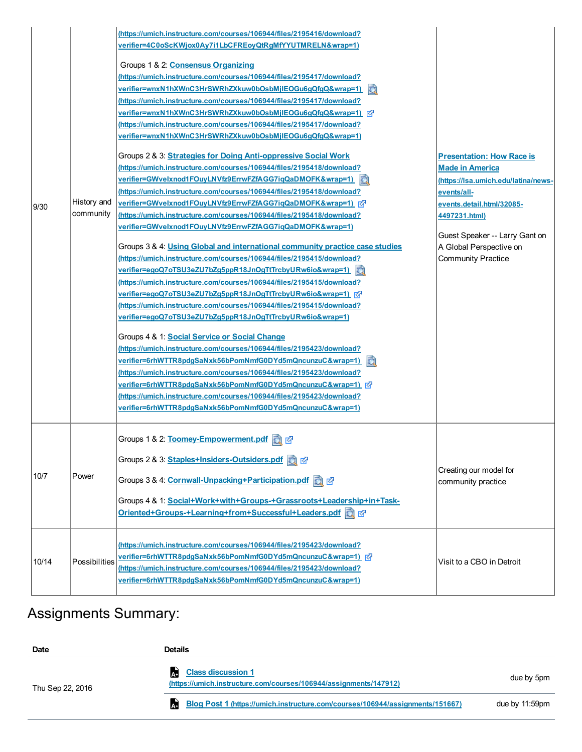|       |                          | (https://umich.instructure.com/courses/106944/files/2195416/download?<br>verifier=4C0oScKWjox0Ay7i1LbCFREoyQtRgMfYYUTMRELN&wrap=1)<br>Groups 1 & 2: Consensus Organizing<br>(https://umich.instructure.com/courses/106944/files/2195417/download?<br>verifier=wnxN1hXWnC3HrSWRhZXkuw0bOsbMjlEOGu6qQfqQ&wrap=1)<br>颧<br>(https://umich.instructure.com/courses/106944/files/2195417/download?<br>verifier=wnxN1hXWnC3HrSWRhZXkuw0bOsbMjlEOGu6gQfgQ&wrap=1)  ऍ<br>(https://umich.instructure.com/courses/106944/files/2195417/download?<br>verifier=wnxN1hXWnC3HrSWRhZXkuw0bOsbMjlEOGu6qQfqQ&wrap=1)                                                                                                                                                                                                                                                                                                                                                                                                                                                                                                                                                                                                                                                                                                                                      |                                                                                                                                                                                                                                                          |
|-------|--------------------------|-----------------------------------------------------------------------------------------------------------------------------------------------------------------------------------------------------------------------------------------------------------------------------------------------------------------------------------------------------------------------------------------------------------------------------------------------------------------------------------------------------------------------------------------------------------------------------------------------------------------------------------------------------------------------------------------------------------------------------------------------------------------------------------------------------------------------------------------------------------------------------------------------------------------------------------------------------------------------------------------------------------------------------------------------------------------------------------------------------------------------------------------------------------------------------------------------------------------------------------------------------------------------------------------------------------------------------------------|----------------------------------------------------------------------------------------------------------------------------------------------------------------------------------------------------------------------------------------------------------|
| 9/30  | History and<br>community | Groups 2 & 3: Strategies for Doing Anti-oppressive Social Work<br>(https://umich.instructure.com/courses/106944/files/2195418/download?<br>verifier=GWvelxnod1FOuyLNVfz9ErrwFZfAGG7iqQaDMOFK&wrap=1)<br>(https://umich.instructure.com/courses/106944/files/2195418/download?<br>(https://umich.instructure.com/courses/106944/files/2195418/download?<br>verifier=GWvelxnod1FOuyLNVfz9ErrwFZfAGG7iqQaDMOFK&wrap=1)<br>Groups 3 & 4: Using Global and international community practice case studies<br>(https://umich.instructure.com/courses/106944/files/2195415/download?<br>verifier=egoQ7oTSU3eZU7bZg5ppR18JnOgTtTrcbyURw6io&wrap=1)<br>(https://umich.instructure.com/courses/106944/files/2195415/download?<br>verifier=egoQ7oTSU3eZU7bZg5ppR18JnOgTtTrcbyURw6io&wrap=1)  ମ<br>(https://umich.instructure.com/courses/106944/files/2195415/download?<br>verifier=egoQ7oTSU3eZU7bZg5ppR18JnOgTtTrcbyURw6io&wrap=1)<br>Groups 4 & 1 Social Service or Social Change<br>(https://umich.instructure.com/courses/106944/files/2195423/download?<br>verifier=6rhWTTR8pdgSaNxk56bPomNmfG0DYd5mQncunzuC&wrap=1)<br>虱<br>(https://umich.instructure.com/courses/106944/files/2195423/download?<br>verifier=6rhWTTR8pdgSaNxk56bPomNmfG0DYd5mQncunzuC&wrap=1)   i尕<br>(https://umich.instructure.com/courses/106944/files/2195423/download? | <b>Presentation: How Race is</b><br><b>Made in America</b><br>(https://lsa.umich.edu/latina/news-<br>events/all-<br>events.detail.html/32085-<br>4497231.html)<br>Guest Speaker -- Larry Gant on<br>A Global Perspective on<br><b>Community Practice</b> |
|       |                          | verifier=6rhWTTR8pdgSaNxk56bPomNmfG0DYd5mQncunzuC&wrap=1)                                                                                                                                                                                                                                                                                                                                                                                                                                                                                                                                                                                                                                                                                                                                                                                                                                                                                                                                                                                                                                                                                                                                                                                                                                                                               |                                                                                                                                                                                                                                                          |
| 10/7  | Power                    | Groups 1 & 2: Toomey-Empowerment.pdf<br>Groups 2 & 3: Staples+Insiders-Outsiders.pdf<br>Groups 3 & 4: Cornwall-Unpacking+Participation.pdf a<br>Groups 4 & 1: Social+Work+with+Groups-+Grassroots+Leadership+in+Task-<br>Oriented+Groups-+Learning+from+Successful+Leaders.pdf a                                                                                                                                                                                                                                                                                                                                                                                                                                                                                                                                                                                                                                                                                                                                                                                                                                                                                                                                                                                                                                                        | Creating our model for<br>community practice                                                                                                                                                                                                             |
| 10/14 | Possibilities            | (https://umich.instructure.com/courses/106944/files/2195423/download?<br>(https://umich.instructure.com/courses/106944/files/2195423/download?<br>verifier=6rhWTTR8pdgSaNxk56bPomNmfG0DYd5mQncunzuC&wrap=1)                                                                                                                                                                                                                                                                                                                                                                                                                                                                                                                                                                                                                                                                                                                                                                                                                                                                                                                                                                                                                                                                                                                             | Visit to a CBO in Detroit                                                                                                                                                                                                                                |

# Assignments Summary:

| <b>Date</b>      | <b>Details</b>                                                                                 |                |
|------------------|------------------------------------------------------------------------------------------------|----------------|
| Thu Sep 22, 2016 | <b>Class discussion 1</b><br>(https://umich.instructure.com/courses/106944/assignments/147912) | due by 5pm     |
|                  | $\mathbf{A}$<br>Blog Post 1 (https://umich.instructure.com/courses/106944/assignments/151667)  | due by 11:59pm |